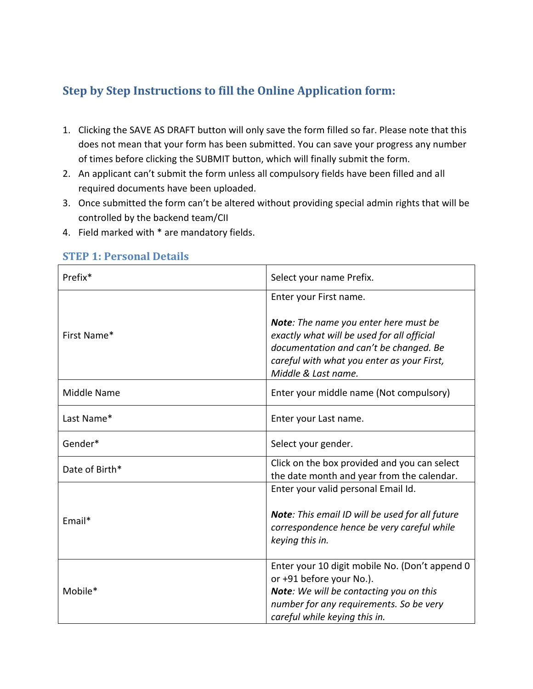### **Step by Step Instructions to fill the Online Application form:**

- 1. Clicking the SAVE AS DRAFT button will only save the form filled so far. Please note that this does not mean that your form has been submitted. You can save your progress any number of times before clicking the SUBMIT button, which will finally submit the form.
- 2. An applicant can't submit the form unless all compulsory fields have been filled and all required documents have been uploaded.
- 3. Once submitted the form can't be altered without providing special admin rights that will be controlled by the backend team/CII
- 4. Field marked with \* are mandatory fields.

| Prefix*        | Select your name Prefix.                                                                                                                                                                           |
|----------------|----------------------------------------------------------------------------------------------------------------------------------------------------------------------------------------------------|
|                | Enter your First name.                                                                                                                                                                             |
| First Name*    | Note: The name you enter here must be<br>exactly what will be used for all official<br>documentation and can't be changed. Be<br>careful with what you enter as your First,<br>Middle & Last name. |
| Middle Name    | Enter your middle name (Not compulsory)                                                                                                                                                            |
| Last Name*     | Enter your Last name.                                                                                                                                                                              |
| Gender*        | Select your gender.                                                                                                                                                                                |
| Date of Birth* | Click on the box provided and you can select<br>the date month and year from the calendar.                                                                                                         |
|                | Enter your valid personal Email Id.                                                                                                                                                                |
| Email*         | Note: This email ID will be used for all future<br>correspondence hence be very careful while<br>keying this in.                                                                                   |
| Mobile*        | Enter your 10 digit mobile No. (Don't append 0<br>or +91 before your No.).<br>Note: We will be contacting you on this<br>number for any requirements. So be very<br>careful while keying this in.  |

#### **STEP 1: Personal Details**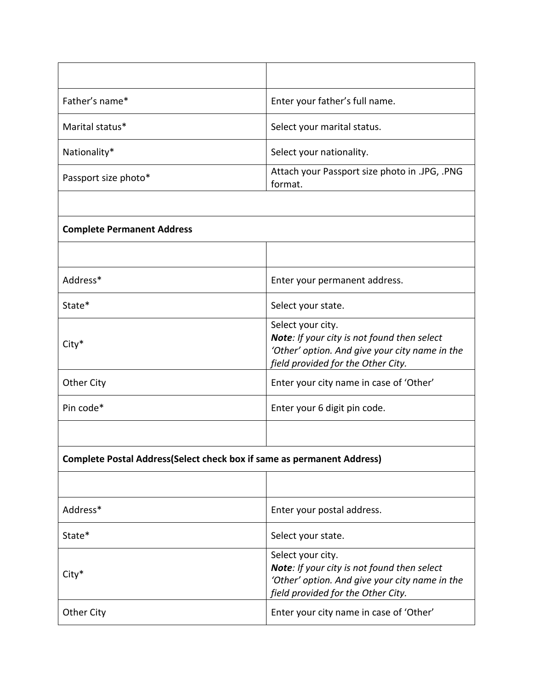| Father's name*                                                                 | Enter your father's full name.                                                                                                                                  |
|--------------------------------------------------------------------------------|-----------------------------------------------------------------------------------------------------------------------------------------------------------------|
| Marital status*                                                                | Select your marital status.                                                                                                                                     |
| Nationality*                                                                   | Select your nationality.                                                                                                                                        |
| Passport size photo*                                                           | Attach your Passport size photo in .JPG, .PNG<br>format.                                                                                                        |
|                                                                                |                                                                                                                                                                 |
| <b>Complete Permanent Address</b>                                              |                                                                                                                                                                 |
|                                                                                |                                                                                                                                                                 |
| Address*                                                                       | Enter your permanent address.                                                                                                                                   |
| State*                                                                         | Select your state.                                                                                                                                              |
| City*                                                                          | Select your city.<br>Note: If your city is not found then select<br>'Other' option. And give your city name in the<br>field provided for the Other City.        |
| <b>Other City</b>                                                              | Enter your city name in case of 'Other'                                                                                                                         |
| Pin code*                                                                      | Enter your 6 digit pin code.                                                                                                                                    |
|                                                                                |                                                                                                                                                                 |
| <b>Complete Postal Address (Select check box if same as permanent Address)</b> |                                                                                                                                                                 |
|                                                                                |                                                                                                                                                                 |
| Address*                                                                       | Enter your postal address.                                                                                                                                      |
| State*                                                                         | Select your state.                                                                                                                                              |
| City*                                                                          | Select your city.<br><b>Note:</b> If your city is not found then select<br>'Other' option. And give your city name in the<br>field provided for the Other City. |
| <b>Other City</b>                                                              | Enter your city name in case of 'Other'                                                                                                                         |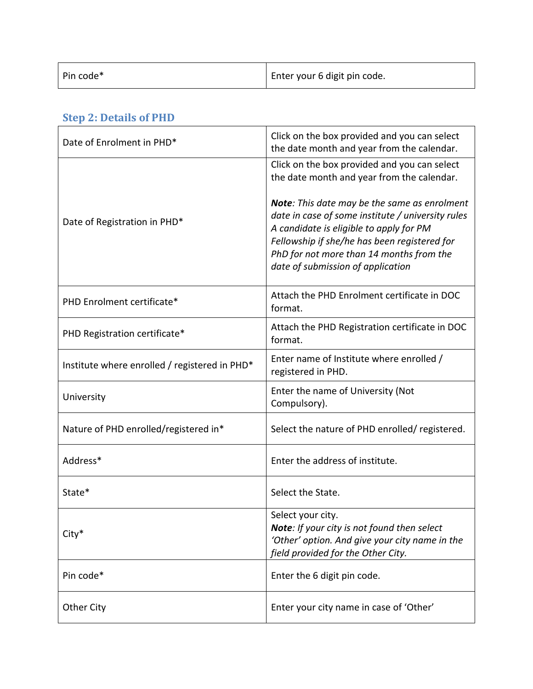| Pin code* | Enter your 6 digit pin code. |
|-----------|------------------------------|
|           |                              |

| Date of Enrolment in PHD*                     | Click on the box provided and you can select<br>the date month and year from the calendar.                                                                                                                                                                                    |
|-----------------------------------------------|-------------------------------------------------------------------------------------------------------------------------------------------------------------------------------------------------------------------------------------------------------------------------------|
|                                               | Click on the box provided and you can select<br>the date month and year from the calendar.                                                                                                                                                                                    |
| Date of Registration in PHD*                  | Note: This date may be the same as enrolment<br>date in case of some institute / university rules<br>A candidate is eligible to apply for PM<br>Fellowship if she/he has been registered for<br>PhD for not more than 14 months from the<br>date of submission of application |
| PHD Enrolment certificate*                    | Attach the PHD Enrolment certificate in DOC<br>format.                                                                                                                                                                                                                        |
| PHD Registration certificate*                 | Attach the PHD Registration certificate in DOC<br>format.                                                                                                                                                                                                                     |
| Institute where enrolled / registered in PHD* | Enter name of Institute where enrolled /<br>registered in PHD.                                                                                                                                                                                                                |
| University                                    | Enter the name of University (Not<br>Compulsory).                                                                                                                                                                                                                             |
| Nature of PHD enrolled/registered in*         | Select the nature of PHD enrolled/ registered.                                                                                                                                                                                                                                |
| Address*                                      | Enter the address of institute.                                                                                                                                                                                                                                               |
| State*                                        | Select the State.                                                                                                                                                                                                                                                             |
| City*                                         | Select your city.<br>Note: If your city is not found then select<br>'Other' option. And give your city name in the<br>field provided for the Other City.                                                                                                                      |
| Pin code*                                     | Enter the 6 digit pin code.                                                                                                                                                                                                                                                   |
| <b>Other City</b>                             | Enter your city name in case of 'Other'                                                                                                                                                                                                                                       |

### **Step 2: Details of PHD**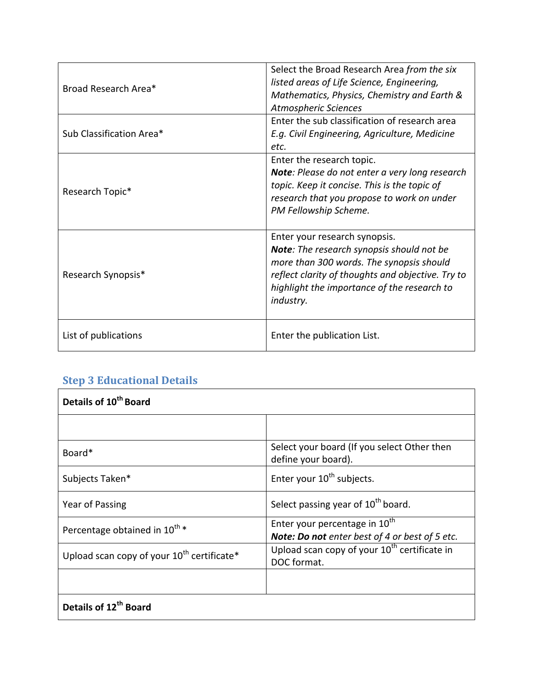| Broad Research Area*     | Select the Broad Research Area from the six<br>listed areas of Life Science, Engineering,<br>Mathematics, Physics, Chemistry and Earth &<br>Atmospheric Sciences                                                                               |
|--------------------------|------------------------------------------------------------------------------------------------------------------------------------------------------------------------------------------------------------------------------------------------|
| Sub Classification Area* | Enter the sub classification of research area<br>E.g. Civil Engineering, Agriculture, Medicine<br>etc.                                                                                                                                         |
| Research Topic*          | Enter the research topic.<br>Note: Please do not enter a very long research<br>topic. Keep it concise. This is the topic of<br>research that you propose to work on under<br>PM Fellowship Scheme.                                             |
| Research Synopsis*       | Enter your research synopsis.<br><b>Note:</b> The research synopsis should not be<br>more than 300 words. The synopsis should<br>reflect clarity of thoughts and objective. Try to<br>highlight the importance of the research to<br>industry. |
| List of publications     | Enter the publication List.                                                                                                                                                                                                                    |

## **Step 3 Educational Details**

| Details of 10 <sup>th</sup> Board                      |                                                                                             |
|--------------------------------------------------------|---------------------------------------------------------------------------------------------|
|                                                        |                                                                                             |
| Board <sup>*</sup>                                     | Select your board (If you select Other then<br>define your board).                          |
| Subjects Taken*                                        | Enter your 10 <sup>th</sup> subjects.                                                       |
| Year of Passing                                        | Select passing year of 10 <sup>th</sup> board.                                              |
| Percentage obtained in 10 <sup>th</sup> *              | Enter your percentage in 10 <sup>th</sup><br>Note: Do not enter best of 4 or best of 5 etc. |
| Upload scan copy of your 10 <sup>th</sup> certificate* | Upload scan copy of your 10 <sup>th</sup> certificate in<br>DOC format.                     |
|                                                        |                                                                                             |
| Details of 12 <sup>th</sup> Board                      |                                                                                             |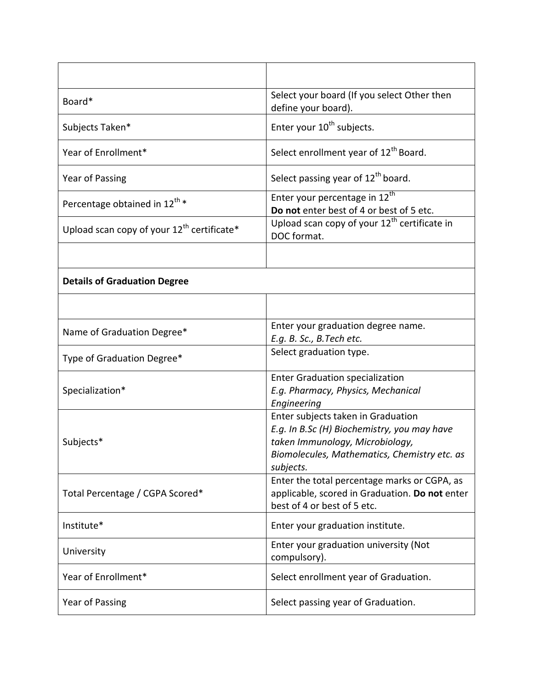| Board*                                                 | Select your board (If you select Other then<br>define your board).                                                                                                                |
|--------------------------------------------------------|-----------------------------------------------------------------------------------------------------------------------------------------------------------------------------------|
| Subjects Taken*                                        | Enter your 10 <sup>th</sup> subjects.                                                                                                                                             |
| Year of Enrollment*                                    | Select enrollment year of 12 <sup>th</sup> Board.                                                                                                                                 |
| Year of Passing                                        | Select passing year of 12 <sup>th</sup> board.                                                                                                                                    |
| Percentage obtained in 12 <sup>th</sup> *              | Enter your percentage in 12 <sup>th</sup><br>Do not enter best of 4 or best of 5 etc.                                                                                             |
| Upload scan copy of your 12 <sup>th</sup> certificate* | Upload scan copy of your 12 <sup>th</sup> certificate in<br>DOC format.                                                                                                           |
|                                                        |                                                                                                                                                                                   |
| <b>Details of Graduation Degree</b>                    |                                                                                                                                                                                   |
|                                                        |                                                                                                                                                                                   |
| Name of Graduation Degree*                             | Enter your graduation degree name.<br>E.g. B. Sc., B. Tech etc.                                                                                                                   |
| Type of Graduation Degree*                             | Select graduation type.                                                                                                                                                           |
| Specialization*                                        | <b>Enter Graduation specialization</b><br>E.g. Pharmacy, Physics, Mechanical<br>Engineering                                                                                       |
| Subjects*                                              | Enter subjects taken in Graduation<br>E.g. In B.Sc (H) Biochemistry, you may have<br>taken Immunology, Microbiology,<br>Biomolecules, Mathematics, Chemistry etc. as<br>subjects. |
| Total Percentage / CGPA Scored*                        | Enter the total percentage marks or CGPA, as<br>applicable, scored in Graduation. Do not enter<br>best of 4 or best of 5 etc.                                                     |
| Institute*                                             | Enter your graduation institute.                                                                                                                                                  |
| University                                             | Enter your graduation university (Not<br>compulsory).                                                                                                                             |
| Year of Enrollment*                                    | Select enrollment year of Graduation.                                                                                                                                             |
| Year of Passing                                        | Select passing year of Graduation.                                                                                                                                                |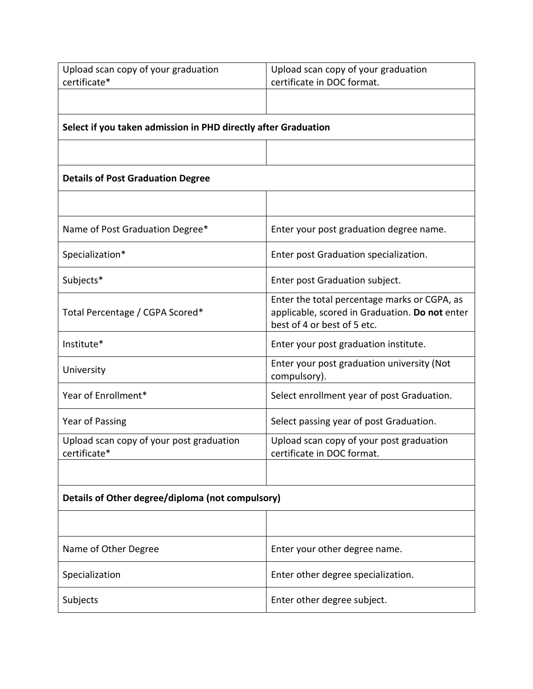| Upload scan copy of your graduation                            | Upload scan copy of your graduation                                                                                           |  |
|----------------------------------------------------------------|-------------------------------------------------------------------------------------------------------------------------------|--|
| certificate*                                                   | certificate in DOC format.                                                                                                    |  |
|                                                                |                                                                                                                               |  |
| Select if you taken admission in PHD directly after Graduation |                                                                                                                               |  |
|                                                                |                                                                                                                               |  |
| <b>Details of Post Graduation Degree</b>                       |                                                                                                                               |  |
|                                                                |                                                                                                                               |  |
| Name of Post Graduation Degree*                                | Enter your post graduation degree name.                                                                                       |  |
| Specialization*                                                | Enter post Graduation specialization.                                                                                         |  |
| Subjects*                                                      | Enter post Graduation subject.                                                                                                |  |
| Total Percentage / CGPA Scored*                                | Enter the total percentage marks or CGPA, as<br>applicable, scored in Graduation. Do not enter<br>best of 4 or best of 5 etc. |  |
| Institute*                                                     | Enter your post graduation institute.                                                                                         |  |
| University                                                     | Enter your post graduation university (Not<br>compulsory).                                                                    |  |
| Year of Enrollment*                                            | Select enrollment year of post Graduation.                                                                                    |  |
| Year of Passing                                                | Select passing year of post Graduation.                                                                                       |  |
| Upload scan copy of your post graduation<br>certificate*       | Upload scan copy of your post graduation<br>certificate in DOC format.                                                        |  |
|                                                                |                                                                                                                               |  |
| Details of Other degree/diploma (not compulsory)               |                                                                                                                               |  |
|                                                                |                                                                                                                               |  |
| Name of Other Degree                                           | Enter your other degree name.                                                                                                 |  |
| Specialization                                                 | Enter other degree specialization.                                                                                            |  |
| Subjects                                                       | Enter other degree subject.                                                                                                   |  |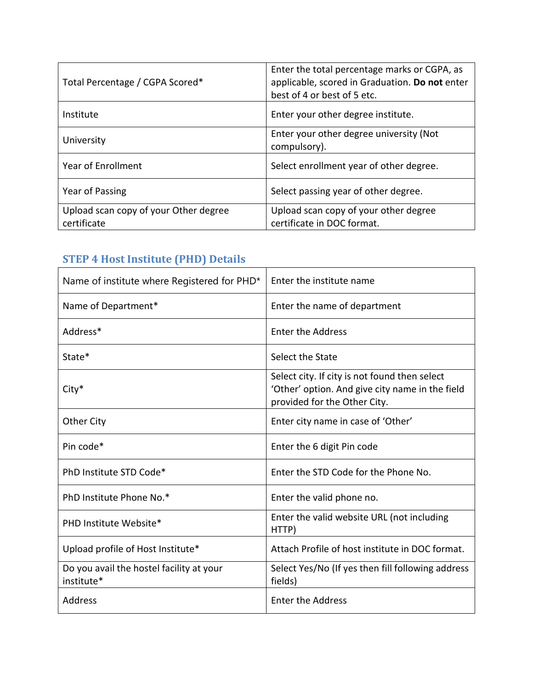| Total Percentage / CGPA Scored*                      | Enter the total percentage marks or CGPA, as<br>applicable, scored in Graduation. Do not enter<br>best of 4 or best of 5 etc. |
|------------------------------------------------------|-------------------------------------------------------------------------------------------------------------------------------|
| Institute                                            | Enter your other degree institute.                                                                                            |
| University                                           | Enter your other degree university (Not<br>compulsory).                                                                       |
| Year of Enrollment                                   | Select enrollment year of other degree.                                                                                       |
| Year of Passing                                      | Select passing year of other degree.                                                                                          |
| Upload scan copy of your Other degree<br>certificate | Upload scan copy of your other degree<br>certificate in DOC format.                                                           |

### **STEP 4 Host Institute (PHD) Details**

| Name of institute where Registered for PHD*            | Enter the institute name                                                                                                         |
|--------------------------------------------------------|----------------------------------------------------------------------------------------------------------------------------------|
| Name of Department*                                    | Enter the name of department                                                                                                     |
| Address*                                               | <b>Enter the Address</b>                                                                                                         |
| State*                                                 | Select the State                                                                                                                 |
| City*                                                  | Select city. If city is not found then select<br>'Other' option. And give city name in the field<br>provided for the Other City. |
| <b>Other City</b>                                      | Enter city name in case of 'Other'                                                                                               |
| Pin code*                                              | Enter the 6 digit Pin code                                                                                                       |
| PhD Institute STD Code*                                | Enter the STD Code for the Phone No.                                                                                             |
| PhD Institute Phone No.*                               | Enter the valid phone no.                                                                                                        |
| PHD Institute Website*                                 | Enter the valid website URL (not including<br>HTTP)                                                                              |
| Upload profile of Host Institute*                      | Attach Profile of host institute in DOC format.                                                                                  |
| Do you avail the hostel facility at your<br>institute* | Select Yes/No (If yes then fill following address<br>fields)                                                                     |
| Address                                                | <b>Enter the Address</b>                                                                                                         |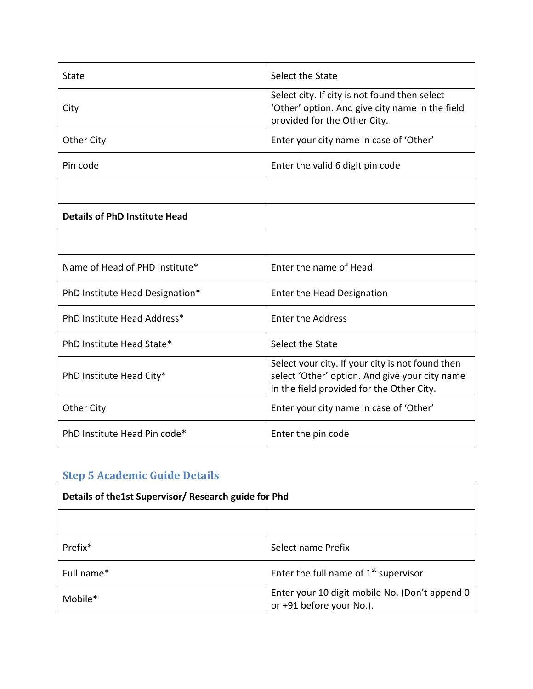| State                                | Select the State                                                                                                                                |
|--------------------------------------|-------------------------------------------------------------------------------------------------------------------------------------------------|
| City                                 | Select city. If city is not found then select<br>'Other' option. And give city name in the field<br>provided for the Other City.                |
| Other City                           | Enter your city name in case of 'Other'                                                                                                         |
| Pin code                             | Enter the valid 6 digit pin code                                                                                                                |
|                                      |                                                                                                                                                 |
| <b>Details of PhD Institute Head</b> |                                                                                                                                                 |
|                                      |                                                                                                                                                 |
| Name of Head of PHD Institute*       | Enter the name of Head                                                                                                                          |
| PhD Institute Head Designation*      | Enter the Head Designation                                                                                                                      |
| PhD Institute Head Address*          | <b>Enter the Address</b>                                                                                                                        |
| PhD Institute Head State*            | Select the State                                                                                                                                |
| PhD Institute Head City*             | Select your city. If your city is not found then<br>select 'Other' option. And give your city name<br>in the field provided for the Other City. |
| <b>Other City</b>                    | Enter your city name in case of 'Other'                                                                                                         |
| PhD Institute Head Pin code*         | Enter the pin code                                                                                                                              |

# **Step 5 Academic Guide Details**

| Details of the1st Supervisor/ Research guide for Phd |                                                                            |
|------------------------------------------------------|----------------------------------------------------------------------------|
|                                                      |                                                                            |
| Prefix <sup>*</sup>                                  | Select name Prefix                                                         |
| Full name*                                           | Enter the full name of $1st$ supervisor                                    |
| Mobile*                                              | Enter your 10 digit mobile No. (Don't append 0<br>or +91 before your No.). |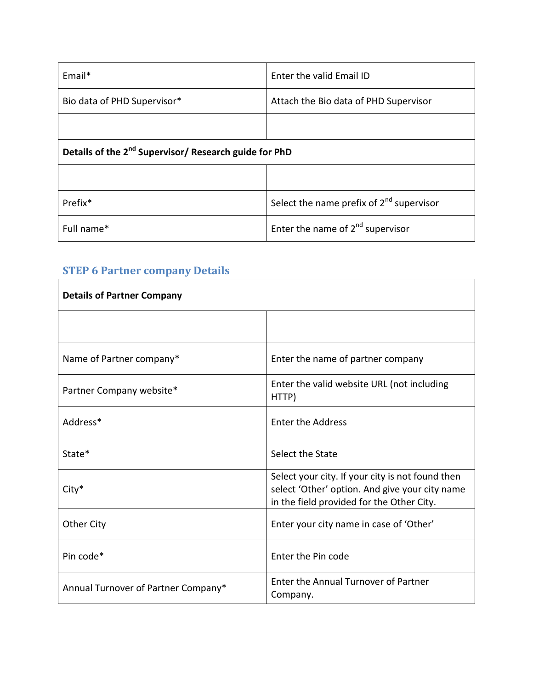| $Email*$                                                          | Enter the valid Email ID                             |
|-------------------------------------------------------------------|------------------------------------------------------|
| Bio data of PHD Supervisor*                                       | Attach the Bio data of PHD Supervisor                |
|                                                                   |                                                      |
| Details of the 2 <sup>nd</sup> Supervisor/ Research guide for PhD |                                                      |
|                                                                   |                                                      |
| Prefix <sup>*</sup>                                               | Select the name prefix of 2 <sup>nd</sup> supervisor |
| Full name*                                                        | Enter the name of $2^{nd}$ supervisor                |

# **STEP 6 Partner company Details**

| <b>STEP 6 Partner company Details</b> |                                                                                                                                                 |
|---------------------------------------|-------------------------------------------------------------------------------------------------------------------------------------------------|
| <b>Details of Partner Company</b>     |                                                                                                                                                 |
|                                       |                                                                                                                                                 |
| Name of Partner company*              | Enter the name of partner company                                                                                                               |
| Partner Company website*              | Enter the valid website URL (not including<br>HTTP)                                                                                             |
| Address*                              | <b>Enter the Address</b>                                                                                                                        |
| State*                                | Select the State                                                                                                                                |
| City*                                 | Select your city. If your city is not found then<br>select 'Other' option. And give your city name<br>in the field provided for the Other City. |
| <b>Other City</b>                     | Enter your city name in case of 'Other'                                                                                                         |
| Pin code*                             | Enter the Pin code                                                                                                                              |
| Annual Turnover of Partner Company*   | Enter the Annual Turnover of Partner<br>Company.                                                                                                |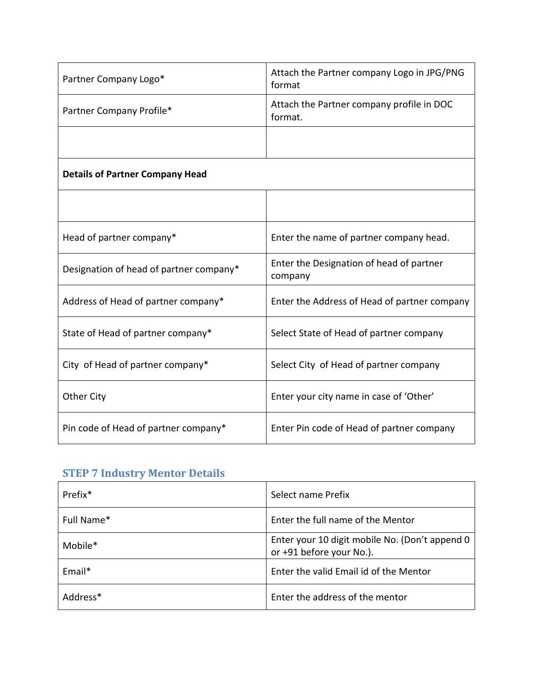| Partner Company Logo*                   | Attach the Partner company Logo in JPG/PNG<br>format |
|-----------------------------------------|------------------------------------------------------|
| Partner Company Profile*                | Attach the Partner company profile in DOC<br>format. |
|                                         |                                                      |
| <b>Details of Partner Company Head</b>  |                                                      |
|                                         |                                                      |
| Head of partner company*                | Enter the name of partner company head.              |
| Designation of head of partner company* | Enter the Designation of head of partner<br>company  |
| Address of Head of partner company*     | Enter the Address of Head of partner company         |
| State of Head of partner company*       | Select State of Head of partner company              |
| City of Head of partner company*        | Select City of Head of partner company               |
| <b>Other City</b>                       | Enter your city name in case of 'Other'              |
| Pin code of Head of partner company*    | Enter Pin code of Head of partner company            |

# **STEP 7 Industry Mentor Details**

| Prefix <sup>*</sup>  | Select name Prefix                                                         |
|----------------------|----------------------------------------------------------------------------|
| Full Name*           | Enter the full name of the Mentor                                          |
| Mobile*              | Enter your 10 digit mobile No. (Don't append 0<br>or +91 before your No.). |
| Email*               | Enter the valid Email id of the Mentor                                     |
| Address <sup>*</sup> | Enter the address of the mentor                                            |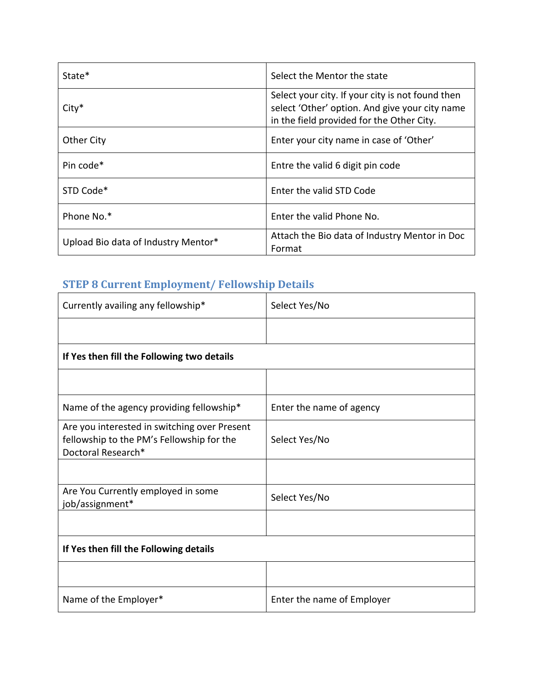| State*                              | Select the Mentor the state                                                                                                                     |
|-------------------------------------|-------------------------------------------------------------------------------------------------------------------------------------------------|
| $City*$                             | Select your city. If your city is not found then<br>select 'Other' option. And give your city name<br>in the field provided for the Other City. |
| <b>Other City</b>                   | Enter your city name in case of 'Other'                                                                                                         |
| Pin code*                           | Entre the valid 6 digit pin code                                                                                                                |
| STD Code*                           | Enter the valid STD Code                                                                                                                        |
| Phone No.*                          | Enter the valid Phone No.                                                                                                                       |
| Upload Bio data of Industry Mentor* | Attach the Bio data of Industry Mentor in Doc<br>Format                                                                                         |

## **STEP 8 Current Employment/ Fellowship Details**

| Currently availing any fellowship*                                                                              | Select Yes/No              |
|-----------------------------------------------------------------------------------------------------------------|----------------------------|
|                                                                                                                 |                            |
| If Yes then fill the Following two details                                                                      |                            |
|                                                                                                                 |                            |
| Name of the agency providing fellowship*                                                                        | Enter the name of agency   |
| Are you interested in switching over Present<br>fellowship to the PM's Fellowship for the<br>Doctoral Research* | Select Yes/No              |
|                                                                                                                 |                            |
| Are You Currently employed in some<br>job/assignment*                                                           | Select Yes/No              |
|                                                                                                                 |                            |
| If Yes then fill the Following details                                                                          |                            |
|                                                                                                                 |                            |
| Name of the Employer*                                                                                           | Enter the name of Employer |